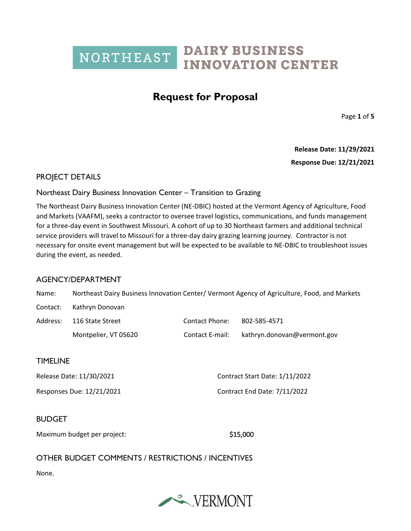## **Request for Proposal**

Page **1** of **5**

**Release Date: 11/29/2021**

**Response Due: 12/21/2021**

### PROJECT DETAILS

### Northeast Dairy Business Innovation Center – Transition to Grazing

The Northeast Dairy Business Innovation Center (NE-DBIC) hosted at the Vermont Agency of Agriculture, Food and Markets (VAAFM), seeks a contractor to oversee travel logistics, communications, and funds management for a three-day event in Southwest Missouri. A cohort of up to 30 Northeast farmers and additional technical service providers will travel to Missouri for a three-day dairy grazing learning journey. Contractor is not necessary for onsite event management but will be expected to be available to NE-DBIC to troubleshoot issues during the event, as needed.

### AGENCY/DEPARTMENT

| Name:                       | Northeast Dairy Business Innovation Center/ Vermont Agency of Agriculture, Food, and Markets |                 |                                |  |
|-----------------------------|----------------------------------------------------------------------------------------------|-----------------|--------------------------------|--|
| Contact:                    | Kathryn Donovan                                                                              |                 |                                |  |
| Address:                    | 116 State Street                                                                             | Contact Phone:  | 802-585-4571                   |  |
|                             | Montpelier, VT 05620                                                                         | Contact E-mail: | kathryn.donovan@vermont.gov    |  |
| <b>TIMELINE</b>             |                                                                                              |                 |                                |  |
| Release Date: 11/30/2021    |                                                                                              |                 | Contract Start Date: 1/11/2022 |  |
| Responses Due: 12/21/2021   |                                                                                              |                 | Contract End Date: 7/11/2022   |  |
| <b>BUDGET</b>               |                                                                                              |                 |                                |  |
| Maximum budget per project: |                                                                                              |                 | \$15,000                       |  |
|                             | OTHER BUDGET COMMENTS / RESTRICTIONS / INCENTIVES                                            |                 |                                |  |

None.

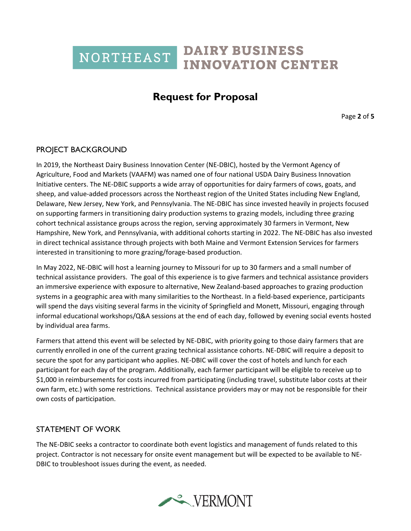## **Request for Proposal**

Page **2** of **5**

## PROJECT BACKGROUND

In 2019, the Northeast Dairy Business Innovation Center (NE-DBIC), hosted by the Vermont Agency of Agriculture, Food and Markets (VAAFM) was named one of four national USDA Dairy Business Innovation Initiative centers. The NE-DBIC supports a wide array of opportunities for dairy farmers of cows, goats, and sheep, and value-added processors across the Northeast region of the United States including New England, Delaware, New Jersey, New York, and Pennsylvania. The NE-DBIC has since invested heavily in projects focused on supporting farmers in transitioning dairy production systems to grazing models, including three grazing cohort technical assistance groups across the region, serving approximately 30 farmers in Vermont, New Hampshire, New York, and Pennsylvania, with additional cohorts starting in 2022. The NE-DBIC has also invested in direct technical assistance through projects with both Maine and Vermont Extension Services for farmers interested in transitioning to more grazing/forage-based production.

In May 2022, NE-DBIC will host a learning journey to Missouri for up to 30 farmers and a small number of technical assistance providers. The goal of this experience is to give farmers and technical assistance providers an immersive experience with exposure to alternative, New Zealand-based approaches to grazing production systems in a geographic area with many similarities to the Northeast. In a field-based experience, participants will spend the days visiting several farms in the vicinity of Springfield and Monett, Missouri, engaging through informal educational workshops/Q&A sessions at the end of each day, followed by evening social events hosted by individual area farms.

Farmers that attend this event will be selected by NE-DBIC, with priority going to those dairy farmers that are currently enrolled in one of the current grazing technical assistance cohorts. NE-DBIC will require a deposit to secure the spot for any participant who applies. NE-DBIC will cover the cost of hotels and lunch for each participant for each day of the program. Additionally, each farmer participant will be eligible to receive up to \$1,000 in reimbursements for costs incurred from participating (including travel, substitute labor costs at their own farm, etc.) with some restrictions. Technical assistance providers may or may not be responsible for their own costs of participation.

### STATEMENT OF WORK

The NE-DBIC seeks a contractor to coordinate both event logistics and management of funds related to this project. Contractor is not necessary for onsite event management but will be expected to be available to NE-DBIC to troubleshoot issues during the event, as needed.

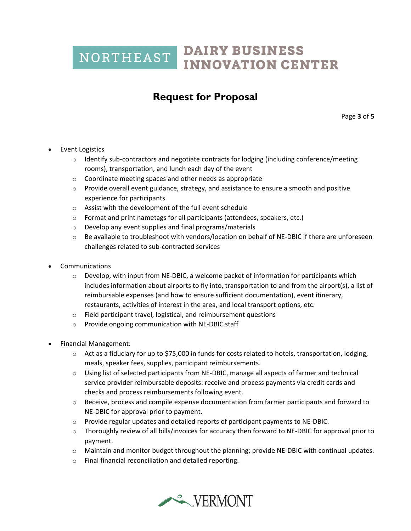# **Request for Proposal**

Page **3** of **5**

- **Event Logistics** 
	- $\circ$  Identify sub-contractors and negotiate contracts for lodging (including conference/meeting rooms), transportation, and lunch each day of the event
	- $\circ$  Coordinate meeting spaces and other needs as appropriate
	- $\circ$  Provide overall event guidance, strategy, and assistance to ensure a smooth and positive experience for participants
	- o Assist with the development of the full event schedule
	- o Format and print nametags for all participants (attendees, speakers, etc.)
	- o Develop any event supplies and final programs/materials
	- $\circ$  Be available to troubleshoot with vendors/location on behalf of NE-DBIC if there are unforeseen challenges related to sub-contracted services
- Communications
	- $\circ$  Develop, with input from NE-DBIC, a welcome packet of information for participants which includes information about airports to fly into, transportation to and from the airport(s), a list of reimbursable expenses (and how to ensure sufficient documentation), event itinerary, restaurants, activities of interest in the area, and local transport options, etc.
	- o Field participant travel, logistical, and reimbursement questions
	- o Provide ongoing communication with NE-DBIC staff
- Financial Management:
	- $\circ$  Act as a fiduciary for up to \$75,000 in funds for costs related to hotels, transportation, lodging, meals, speaker fees, supplies, participant reimbursements.
	- $\circ$  Using list of selected participants from NE-DBIC, manage all aspects of farmer and technical service provider reimbursable deposits: receive and process payments via credit cards and checks and process reimbursements following event.
	- $\circ$  Receive, process and compile expense documentation from farmer participants and forward to NE-DBIC for approval prior to payment.
	- $\circ$  Provide regular updates and detailed reports of participant payments to NE-DBIC.
	- o Thoroughly review of all bills/invoices for accuracy then forward to NE-DBIC for approval prior to payment.
	- $\circ$  Maintain and monitor budget throughout the planning; provide NE-DBIC with continual updates.
	- o Final financial reconciliation and detailed reporting.

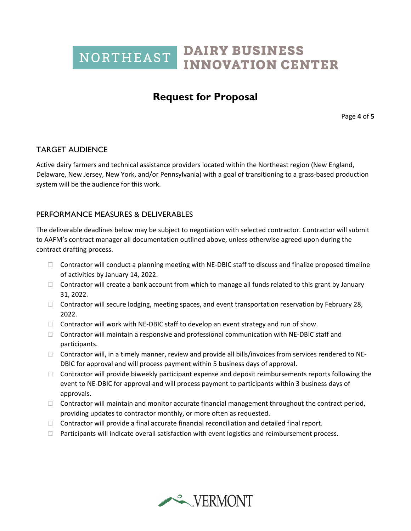## **Request for Proposal**

Page **4** of **5**

## TARGET AUDIENCE

Active dairy farmers and technical assistance providers located within the Northeast region (New England, Delaware, New Jersey, New York, and/or Pennsylvania) with a goal of transitioning to a grass-based production system will be the audience for this work.

### PERFORMANCE MEASURES & DELIVERABLES

The deliverable deadlines below may be subject to negotiation with selected contractor. Contractor will submit to AAFM's contract manager all documentation outlined above, unless otherwise agreed upon during the contract drafting process.

- $\Box$  Contractor will conduct a planning meeting with NE-DBIC staff to discuss and finalize proposed timeline of activities by January 14, 2022.
- $\Box$  Contractor will create a bank account from which to manage all funds related to this grant by January 31, 2022.
- $\Box$  Contractor will secure lodging, meeting spaces, and event transportation reservation by February 28, 2022.
- $\Box$  Contractor will work with NE-DBIC staff to develop an event strategy and run of show.
- $\Box$  Contractor will maintain a responsive and professional communication with NE-DBIC staff and participants.
- $\Box$  Contractor will, in a timely manner, review and provide all bills/invoices from services rendered to NE-DBIC for approval and will process payment within 5 business days of approval.
- $\Box$  Contractor will provide biweekly participant expense and deposit reimbursements reports following the event to NE-DBIC for approval and will process payment to participants within 3 business days of approvals.
- $\Box$  Contractor will maintain and monitor accurate financial management throughout the contract period, providing updates to contractor monthly, or more often as requested.
- $\Box$  Contractor will provide a final accurate financial reconciliation and detailed final report.
- $\Box$  Participants will indicate overall satisfaction with event logistics and reimbursement process.